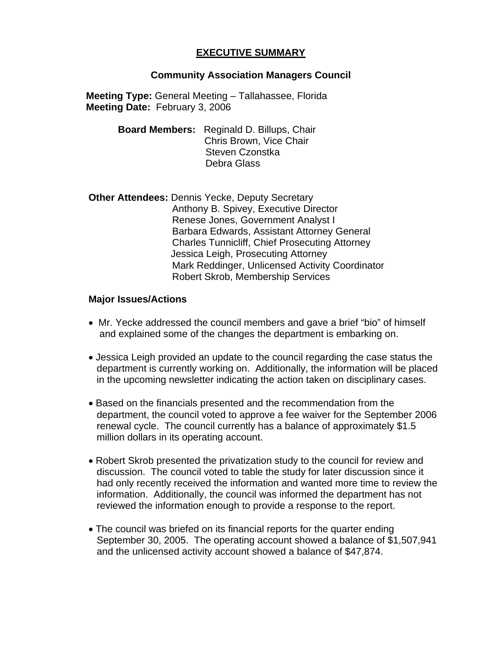## **EXECUTIVE SUMMARY**

## **Community Association Managers Council**

**Meeting Type:** General Meeting – Tallahassee, Florida **Meeting Date:** February 3, 2006

> **Board Members:** Reginald D. Billups, Chair Chris Brown, Vice Chair Steven Czonstka Debra Glass

**Other Attendees:** Dennis Yecke, Deputy Secretary Anthony B. Spivey, Executive Director Renese Jones, Government Analyst I Barbara Edwards, Assistant Attorney General Charles Tunnicliff, Chief Prosecuting Attorney Jessica Leigh, Prosecuting Attorney Mark Reddinger, Unlicensed Activity Coordinator Robert Skrob, Membership Services

## **Major Issues/Actions**

- Mr. Yecke addressed the council members and gave a brief "bio" of himself and explained some of the changes the department is embarking on.
- Jessica Leigh provided an update to the council regarding the case status the department is currently working on. Additionally, the information will be placed in the upcoming newsletter indicating the action taken on disciplinary cases.
- Based on the financials presented and the recommendation from the department, the council voted to approve a fee waiver for the September 2006 renewal cycle. The council currently has a balance of approximately \$1.5 million dollars in its operating account.
- Robert Skrob presented the privatization study to the council for review and discussion. The council voted to table the study for later discussion since it had only recently received the information and wanted more time to review the information. Additionally, the council was informed the department has not reviewed the information enough to provide a response to the report.
- The council was briefed on its financial reports for the quarter ending September 30, 2005. The operating account showed a balance of \$1,507,941 and the unlicensed activity account showed a balance of \$47,874.